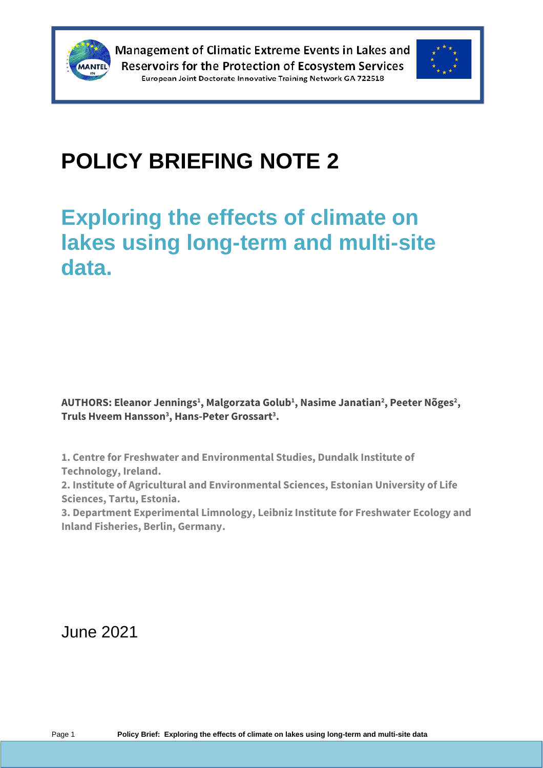



# **POLICY BRIEFING NOTE 2**

## **Exploring the effects of climate on lakes using long-term and multi-site data.**

**AUTHORS: Eleanor Jennings<sup>1</sup> , Malgorzata Golub<sup>1</sup> , Nasime Janatian<sup>2</sup> , Peeter Nõges<sup>2</sup> , Truls Hveem Hansson<sup>3</sup> , Hans-Peter Grossart<sup>3</sup> .**

**1. Centre for Freshwater and Environmental Studies, Dundalk Institute of Technology, Ireland.**

**2. Institute of Agricultural and Environmental Sciences, Estonian University of Life Sciences, Tartu, Estonia.**

**3. Department Experimental Limnology, Leibniz Institute for Freshwater Ecology and Inland Fisheries, Berlin, Germany.**

June 2021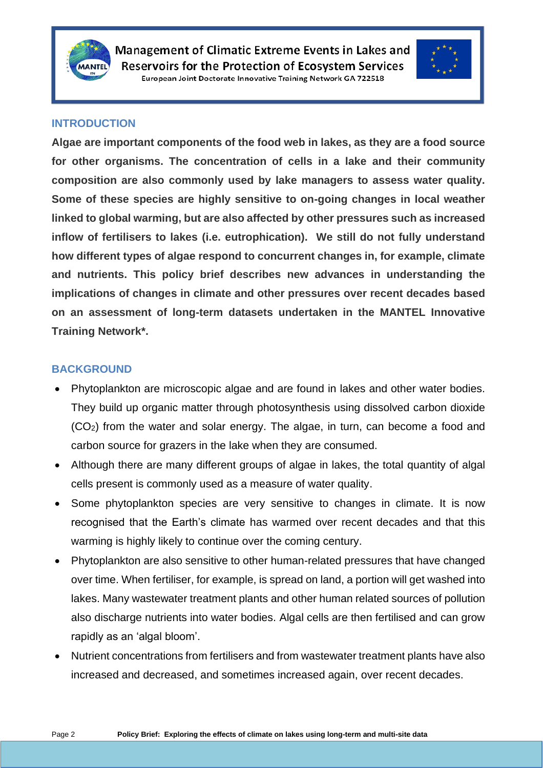



#### **INTRODUCTION**

**Algae are important components of the food web in lakes, as they are a food source for other organisms. The concentration of cells in a lake and their community composition are also commonly used by lake managers to assess water quality. Some of these species are highly sensitive to on-going changes in local weather linked to global warming, but are also affected by other pressures such as increased inflow of fertilisers to lakes (i.e. eutrophication). We still do not fully understand how different types of algae respond to concurrent changes in, for example, climate and nutrients. This policy brief describes new advances in understanding the implications of changes in climate and other pressures over recent decades based on an assessment of long-term datasets undertaken in the MANTEL Innovative Training Network\*.**

#### **BACKGROUND**

- Phytoplankton are microscopic algae and are found in lakes and other water bodies. They build up organic matter through photosynthesis using dissolved carbon dioxide (CO2) from the water and solar energy. The algae, in turn, can become a food and carbon source for grazers in the lake when they are consumed.
- Although there are many different groups of algae in lakes, the total quantity of algal cells present is commonly used as a measure of water quality.
- Some phytoplankton species are very sensitive to changes in climate. It is now recognised that the Earth's climate has warmed over recent decades and that this warming is highly likely to continue over the coming century.
- Phytoplankton are also sensitive to other human-related pressures that have changed over time. When fertiliser, for example, is spread on land, a portion will get washed into lakes. Many wastewater treatment plants and other human related sources of pollution also discharge nutrients into water bodies. Algal cells are then fertilised and can grow rapidly as an 'algal bloom'.
- Nutrient concentrations from fertilisers and from wastewater treatment plants have also increased and decreased, and sometimes increased again, over recent decades.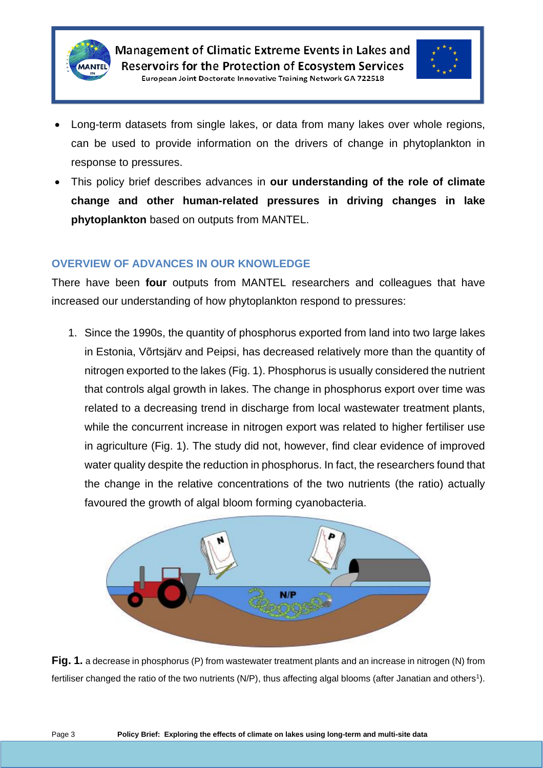



- Long-term datasets from single lakes, or data from many lakes over whole regions, can be used to provide information on the drivers of change in phytoplankton in response to pressures.
- This policy brief describes advances in **our understanding of the role of climate change and other human-related pressures in driving changes in lake phytoplankton** based on outputs from MANTEL.

#### **OVERVIEW OF ADVANCES IN OUR KNOWLEDGE**

There have been **four** outputs from MANTEL researchers and colleagues that have increased our understanding of how phytoplankton respond to pressures:

1. Since the 1990s, the quantity of phosphorus exported from land into two large lakes in Estonia, Võrtsjärv and Peipsi, has decreased relatively more than the quantity of nitrogen exported to the lakes (Fig. 1). Phosphorus is usually considered the nutrient that controls algal growth in lakes. The change in phosphorus export over time was related to a decreasing trend in discharge from local wastewater treatment plants, while the concurrent increase in nitrogen export was related to higher fertiliser use in agriculture (Fig. 1). The study did not, however, find clear evidence of improved water quality despite the reduction in phosphorus. In fact, the researchers found that the change in the relative concentrations of the two nutrients (the ratio) actually favoured the growth of algal bloom forming cyanobacteria.



**Fig. 1.** a decrease in phosphorus (P) from wastewater treatment plants and an increase in nitrogen (N) from fertiliser changed the ratio of the two nutrients (N/P), thus affecting algal blooms (after Janatian and others<sup>1</sup>).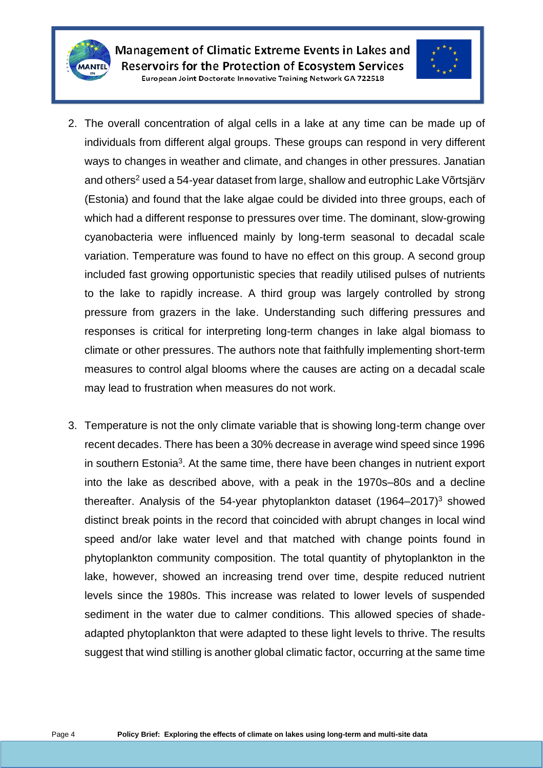



- 2. The overall concentration of algal cells in a lake at any time can be made up of individuals from different algal groups. These groups can respond in very different ways to changes in weather and climate, and changes in other pressures. Janatian and others<sup>2</sup> used a 54-year dataset from large, shallow and eutrophic Lake Võrtsjärv (Estonia) and found that the lake algae could be divided into three groups, each of which had a different response to pressures over time. The dominant, slow-growing cyanobacteria were influenced mainly by long-term seasonal to decadal scale variation. Temperature was found to have no effect on this group. A second group included fast growing opportunistic species that readily utilised pulses of nutrients to the lake to rapidly increase. A third group was largely controlled by strong pressure from grazers in the lake. Understanding such differing pressures and responses is critical for interpreting long-term changes in lake algal biomass to climate or other pressures. The authors note that faithfully implementing short-term measures to control algal blooms where the causes are acting on a decadal scale may lead to frustration when measures do not work.
- 3. Temperature is not the only climate variable that is showing long-term change over recent decades. There has been a 30% decrease in average wind speed since 1996 in southern Estonia<sup>3</sup>. At the same time, there have been changes in nutrient export into the lake as described above, with a peak in the 1970s–80s and a decline thereafter. Analysis of the 54-year phytoplankton dataset  $(1964-2017)^3$  showed distinct break points in the record that coincided with abrupt changes in local wind speed and/or lake water level and that matched with change points found in phytoplankton community composition. The total quantity of phytoplankton in the lake, however, showed an increasing trend over time, despite reduced nutrient levels since the 1980s. This increase was related to lower levels of suspended sediment in the water due to calmer conditions. This allowed species of shadeadapted phytoplankton that were adapted to these light levels to thrive. The results suggest that wind stilling is another global climatic factor, occurring at the same time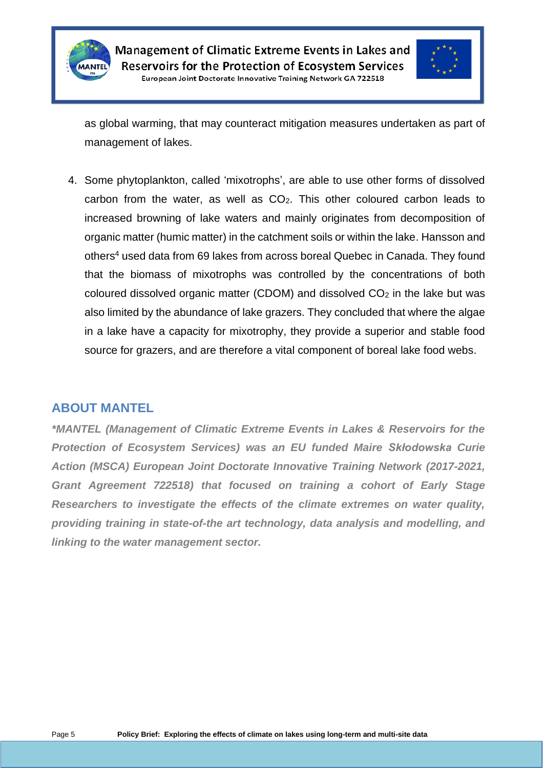



as global warming, that may counteract mitigation measures undertaken as part of management of lakes.

4. Some phytoplankton, called 'mixotrophs', are able to use other forms of dissolved carbon from the water, as well as  $CO<sub>2</sub>$ . This other coloured carbon leads to increased browning of lake waters and mainly originates from decomposition of organic matter (humic matter) in the catchment soils or within the lake. Hansson and others<sup>4</sup> used data from 69 lakes from across boreal Quebec in Canada. They found that the biomass of mixotrophs was controlled by the concentrations of both coloured dissolved organic matter (CDOM) and dissolved  $CO<sub>2</sub>$  in the lake but was also limited by the abundance of lake grazers. They concluded that where the algae in a lake have a capacity for mixotrophy, they provide a superior and stable food source for grazers, and are therefore a vital component of boreal lake food webs.

#### **ABOUT MANTEL**

*\*MANTEL (Management of Climatic Extreme Events in Lakes & Reservoirs for the Protection of Ecosystem Services) was an EU funded Maire Skłodowska Curie Action (MSCA) European Joint Doctorate Innovative Training Network (2017-2021, Grant Agreement 722518) that focused on training a cohort of Early Stage Researchers to investigate the effects of the climate extremes on water quality, providing training in state-of-the art technology, data analysis and modelling, and linking to the water management sector.*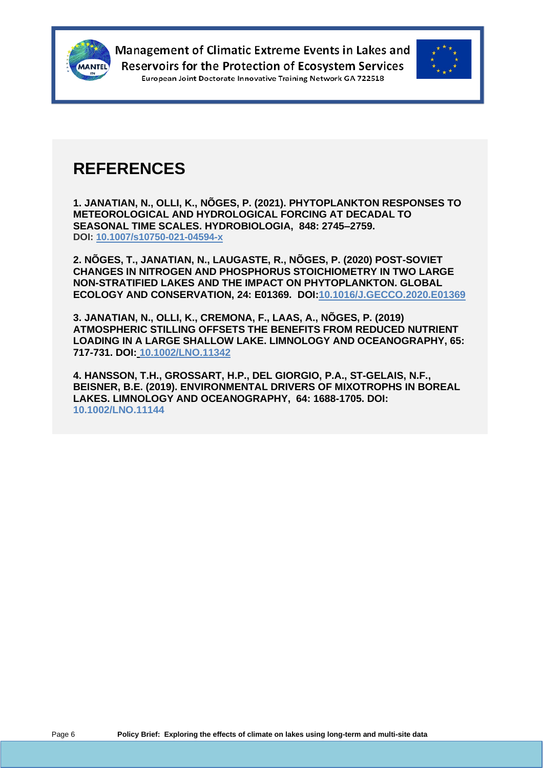



### **REFERENCES**

**1. JANATIAN, N., OLLI, K., NÕGES, P. (2021). PHYTOPLANKTON RESPONSES TO METEOROLOGICAL AND HYDROLOGICAL FORCING AT DECADAL TO SEASONAL TIME SCALES. HYDROBIOLOGIA, 848: 2745–2759. DOI: [10.1007/s10750-021-04594-x](https://doi.org/10.1007/s10750-021-04594-x)**

**2. NÕGES, T., JANATIAN, N., LAUGASTE, R., NÕGES, P. (2020) POST-SOVIET CHANGES IN NITROGEN AND PHOSPHORUS STOICHIOMETRY IN TWO LARGE NON-STRATIFIED LAKES AND THE IMPACT ON PHYTOPLANKTON. GLOBAL ECOLOGY AND CONSERVATION, 24: E01369. DOI:10.1016/J.GECCO.2020.E01369**

**3. JANATIAN, N., OLLI, K., CREMONA, F., LAAS, A., NÕGES, P. (2019) ATMOSPHERIC STILLING OFFSETS THE BENEFITS FROM REDUCED NUTRIENT LOADING IN A LARGE SHALLOW LAKE. LIMNOLOGY AND OCEANOGRAPHY, 65: 717-731. DOI: 10.1002/LNO.11342**

**4. HANSSON, T.H., GROSSART, H.P., DEL GIORGIO, P.A., ST-GELAIS, N.F., BEISNER, B.E. (2019). ENVIRONMENTAL DRIVERS OF MIXOTROPHS IN BOREAL LAKES. LIMNOLOGY AND OCEANOGRAPHY, 64: 1688-1705. DOI: 10.1002/LNO.11144**